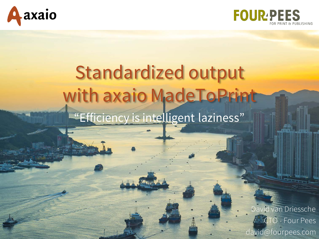



### Standardized output with axaio MadeToPrint "Efficiency is intelligent laziness"

David van Driessche **CTO** - Four Pees david@fourpees.com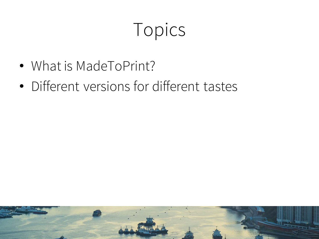## Topics

- What is MadeToPrint?
- Different versions for different tastes

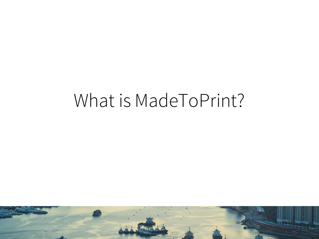#### What is MadeToPrint?

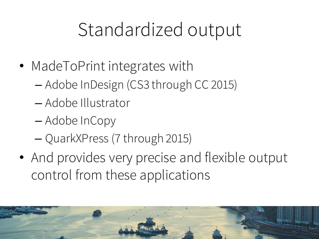## Standardized output

- MadeToPrint integrates with
	- Adobe InDesign (CS3 through CC 2015)
	- Adobe Illustrator
	- Adobe InCopy
	- QuarkXPress (7 through 2015)
- And provides very precise and flexible output control from these applications

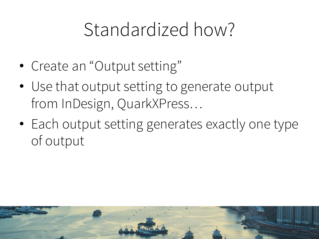## Standardized how?

- Create an "Output setting"
- Use that output setting to generate output from InDesign, QuarkXPress…
- Each output setting generates exactly one type of output

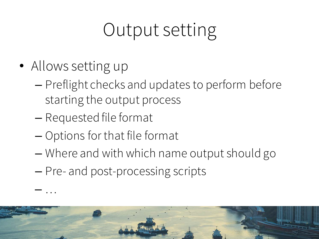## Output setting

• Allows setting up

– …

- Preflight checks and updates to perform before starting the output process
- Requested file format
- Options for that file format
- Where and with which name output should go
- Pre- and post-processing scripts

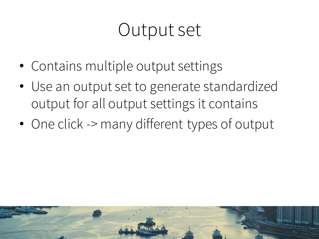## Output set

- Contains multiple output settings
- Use an output set to generate standardized output for all output settings it contains
- One click -> many different types of output

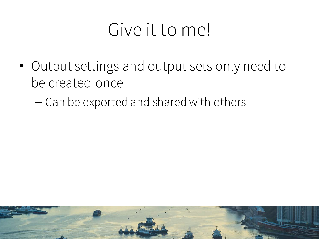#### Give it to me!

- Output settings and output sets only need to be created once
	- Can be exported and shared with others

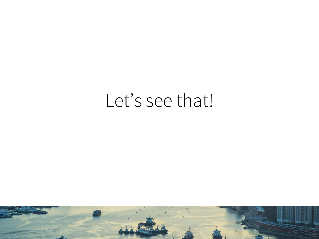#### Let's see that!

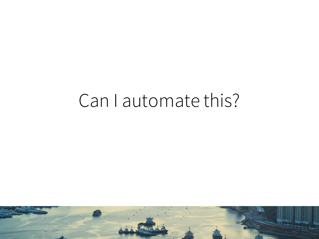#### Can I automate this?

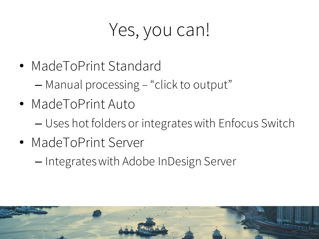## Yes, you can!

- MadeToPrint Standard
	- Manual processing "click to output"
- MadeToPrint Auto
	- Uses hot folders or integrates with Enfocus Switch
- MadeToPrint Server
	- Integrates with Adobe InDesign Server

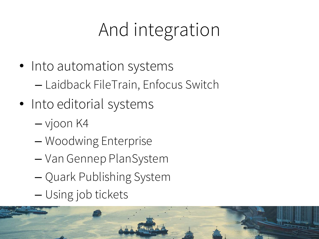## And integration

- Into automation systems – Laidback FileTrain, Enfocus Switch
- Into editorial systems
	- vjoon K4
	- Woodwing Enterprise
	- Van Gennep PlanSystem
	- Quark Publishing System
	- Using job tickets

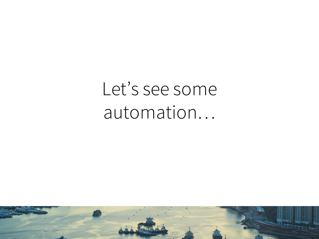## Let's see some automation…

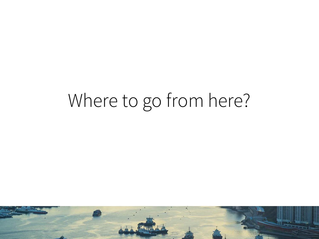## Where to go from here?

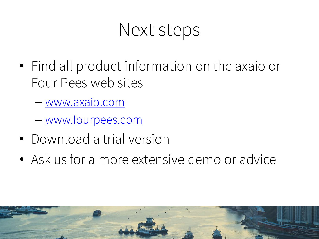#### Next steps

- Find all product information on the axaio or Four Pees web sites
	- www.axaio.com
	- www.fourpees.com
- Download a trial version
- Ask us for a more extensive demo or advice